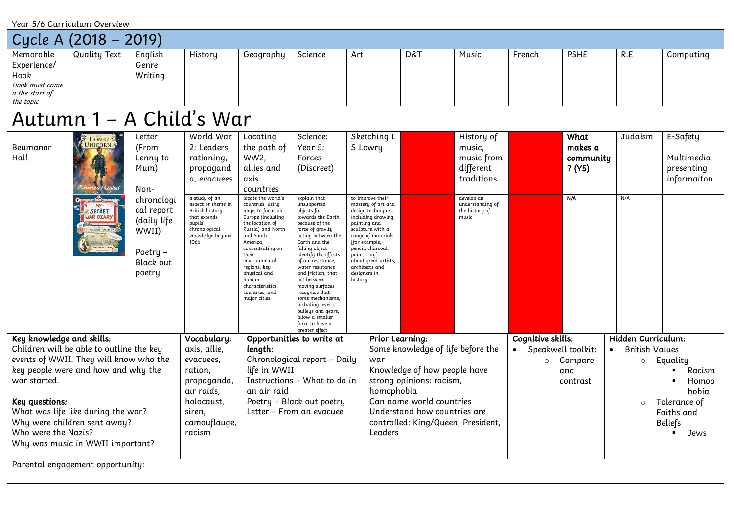|                                                                                                                                                                                                                                                                                                                           | Year 5/6 Curriculum Overview                   |                                                                                                                                           |                                                                                                                                                                                                      |                                                                                                                                                                                                                                                                                                                                                                     |                                                                                                                                                                                                                                                                                                                                                                                                                                                                 |                                                                                                                                                                                                                                                                                                   |                        |                                                                                                                            |                                         |                                               |                                                                                              |                                                     |
|---------------------------------------------------------------------------------------------------------------------------------------------------------------------------------------------------------------------------------------------------------------------------------------------------------------------------|------------------------------------------------|-------------------------------------------------------------------------------------------------------------------------------------------|------------------------------------------------------------------------------------------------------------------------------------------------------------------------------------------------------|---------------------------------------------------------------------------------------------------------------------------------------------------------------------------------------------------------------------------------------------------------------------------------------------------------------------------------------------------------------------|-----------------------------------------------------------------------------------------------------------------------------------------------------------------------------------------------------------------------------------------------------------------------------------------------------------------------------------------------------------------------------------------------------------------------------------------------------------------|---------------------------------------------------------------------------------------------------------------------------------------------------------------------------------------------------------------------------------------------------------------------------------------------------|------------------------|----------------------------------------------------------------------------------------------------------------------------|-----------------------------------------|-----------------------------------------------|----------------------------------------------------------------------------------------------|-----------------------------------------------------|
|                                                                                                                                                                                                                                                                                                                           | Cycle A (2018 - 2019)                          |                                                                                                                                           |                                                                                                                                                                                                      |                                                                                                                                                                                                                                                                                                                                                                     |                                                                                                                                                                                                                                                                                                                                                                                                                                                                 |                                                                                                                                                                                                                                                                                                   |                        |                                                                                                                            |                                         |                                               |                                                                                              |                                                     |
| Memorable<br>Experience/<br>Hook<br>Hook must come<br>a the start of<br>the topic                                                                                                                                                                                                                                         | <b>Quality Text</b>                            | English<br>Genre<br>Writing                                                                                                               | History                                                                                                                                                                                              | Geography                                                                                                                                                                                                                                                                                                                                                           | Science                                                                                                                                                                                                                                                                                                                                                                                                                                                         | Art                                                                                                                                                                                                                                                                                               | D&T                    | Music                                                                                                                      | French                                  | <b>PSHE</b>                                   | R.E                                                                                          | Computing                                           |
|                                                                                                                                                                                                                                                                                                                           | Autumn 1 - A Child's War                       |                                                                                                                                           |                                                                                                                                                                                                      |                                                                                                                                                                                                                                                                                                                                                                     |                                                                                                                                                                                                                                                                                                                                                                                                                                                                 |                                                                                                                                                                                                                                                                                                   |                        |                                                                                                                            |                                         |                                               |                                                                                              |                                                     |
| Beumanor<br>Hall                                                                                                                                                                                                                                                                                                          | LION NE 7<br><b>SECRET</b><br><b>IAR DIARY</b> | Letter<br>(From<br>Lenny to<br>Mum)<br>Non-<br>chronologi<br>cal report<br>(daily life<br>WWII)<br>Poetry -<br><b>Black out</b><br>poetry | World War<br>2: Leaders,<br>rationing,<br>propagand<br>a, evacuees<br>a study of an<br>aspect or theme in<br>British history<br>that extends<br>pupils'<br>chronological<br>knowledge beyond<br>1066 | Locating<br>the path of<br>WW2,<br>allies and<br>axis<br>countries<br>locate the world's<br>countries, using<br>maps to focus on<br>Europe (including<br>the location of<br>Russia) and North<br>and South<br>America,<br>concentrating on<br>their<br>environmental<br>regions, key<br>physical and<br>human<br>characteristics,<br>countries, and<br>major cities | Science:<br>Year 5:<br>Forces<br>(Discreet)<br>explain that<br>unsupported<br>objects fall<br>towards the Earth<br>because of the<br>force of gravity<br>acting between the<br>Earth and the<br>falling object<br>identify the effects<br>of air resistance,<br>water resistance<br>and friction, that<br>act between<br>moving surfaces<br>recognise that<br>some mechanisms,<br>including levers,<br>pulleys and gears,<br>allow a smaller<br>force to have a | Sketching L<br>S Lowry<br>to improve their<br>mastery of art and<br>design techniques,<br>including drawing,<br>painting and<br>sculpture with a<br>range of materials<br>for example,<br>pencil, charcoal,<br>paint, clay]<br>about great artists,<br>architects and<br>designers in<br>history. |                        | History of<br>music,<br>music from<br>different<br>traditions<br>develop an<br>understanding of<br>the history of<br>music |                                         | What<br>makes a<br>community<br>? (Y5)<br>N/A | Judaism<br>N/A                                                                               | E-Safety<br>Multimedia<br>presenting<br>informaiton |
|                                                                                                                                                                                                                                                                                                                           |                                                |                                                                                                                                           | Vocabulary:                                                                                                                                                                                          |                                                                                                                                                                                                                                                                                                                                                                     | greater effect<br>Opportunities to write at                                                                                                                                                                                                                                                                                                                                                                                                                     |                                                                                                                                                                                                                                                                                                   | <b>Prior Learning:</b> |                                                                                                                            | Cognitive skills:                       |                                               | Hidden Curriculum:                                                                           |                                                     |
| Key knowledge and skills:<br>Children will be able to outline the key<br>events of WWII. They will know who the<br>key people were and how and why the<br>war started.<br>Key questions:<br>What was life like during the war?<br>Why were children sent away?<br>Who were the Nazis?<br>Why was music in WWII important? |                                                | axis, allie,<br>evacuees,<br>ration,<br>propaganda,<br>air raids,<br>holocaust,<br>siren,<br>camouflauge,<br>racism                       | length:<br>life in WWII<br>an air raid                                                                                                                                                               | Chronological report - Daily<br>Instructions - What to do in<br>Poetry - Black out poetry<br>Letter - From an evacuee                                                                                                                                                                                                                                               | war<br>homophobia<br>Leaders                                                                                                                                                                                                                                                                                                                                                                                                                                    | Some knowledge of life before the<br>Knowledge of how people have<br>strong opinions: racism,<br>Can name world countries<br>Understand how countries are<br>controlled: King/Queen, President,                                                                                                   |                        | Speakwell toolkit:<br>$\circ$                                                                                              | $\bullet$<br>Compare<br>and<br>contrast | British Values<br>$\circ$<br>$\circ$          | Equality<br>Racism<br>Homop<br>hobia<br>Tolerance of<br>Faiths and<br><b>Beliefs</b><br>Jews |                                                     |
|                                                                                                                                                                                                                                                                                                                           | Parental engagement opportunity:               |                                                                                                                                           |                                                                                                                                                                                                      |                                                                                                                                                                                                                                                                                                                                                                     |                                                                                                                                                                                                                                                                                                                                                                                                                                                                 |                                                                                                                                                                                                                                                                                                   |                        |                                                                                                                            |                                         |                                               |                                                                                              |                                                     |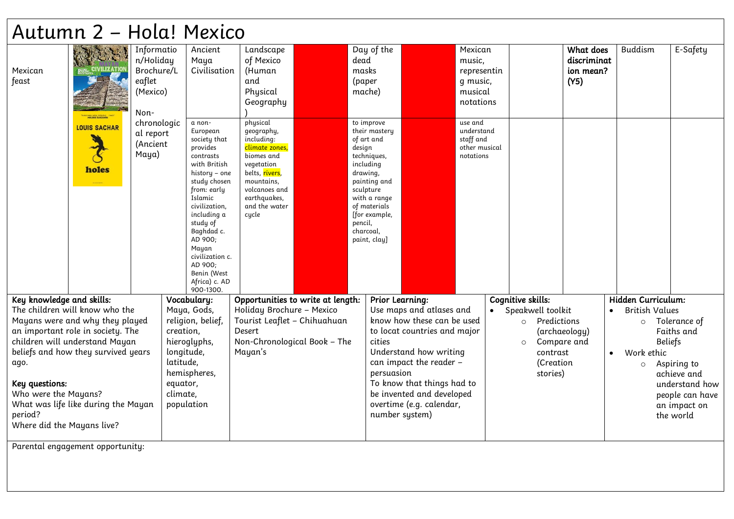|                            | Autumn 2 - Hola! Mexico                                           |                                                                     |            |                                                                                                                                                                                                                                                                                                 |                                                                                                                                                                               |                                                                      |                                                                                                                                           |                                                        |                                                                      |                                    |                                               |           |                       |                               |
|----------------------------|-------------------------------------------------------------------|---------------------------------------------------------------------|------------|-------------------------------------------------------------------------------------------------------------------------------------------------------------------------------------------------------------------------------------------------------------------------------------------------|-------------------------------------------------------------------------------------------------------------------------------------------------------------------------------|----------------------------------------------------------------------|-------------------------------------------------------------------------------------------------------------------------------------------|--------------------------------------------------------|----------------------------------------------------------------------|------------------------------------|-----------------------------------------------|-----------|-----------------------|-------------------------------|
| Mexican<br>feast           | MRLORIE BLACKHAN                                                  | Informatio<br>n/Holiday<br>Brochure/L<br>eaflet<br>(Mexico)<br>Non- |            | Ancient<br>Maya<br>Civilisation                                                                                                                                                                                                                                                                 | Landscape<br>of Mexico<br>(Human<br>and<br>Physical<br>Geography                                                                                                              | dead<br>masks<br>(paper<br>mache)                                    | Day of the                                                                                                                                |                                                        | Mexican<br>music,<br>representin<br>g music,<br>musical<br>notations |                                    | What does<br>discriminat<br>ion mean?<br>(Y5) |           | <b>Buddism</b>        | E-Safety                      |
|                            | <b>LOUIS SACHAR</b><br>holes                                      | chronologic<br>al report<br>(Ancient<br>Maya)                       |            | a non-<br>European<br>society that<br>provides<br>contrasts<br>with British<br>history – one<br>study chosen<br>from: early<br>Islamic<br>civilization,<br>including a<br>study of<br>Baghdad c.<br>AD 900;<br>Mayan<br>civilization c.<br>AD 900;<br>Benin (West<br>Africa) c. AD<br>900-1300. | physical<br>geography,<br>including:<br>climate zones,<br>biomes and<br>vegetation<br>belts, rivers,<br>mountains.<br>volcanoes and<br>earthquakes,<br>and the water<br>cucle | design<br>including<br>drawing,<br>sculpture<br>pencil,<br>charcoal, | to improve<br>their mastery<br>of art and<br>techniques,<br>painting and<br>with a range<br>of materials<br>[for example,<br>paint, clay] |                                                        | use and<br>understand<br>staff and<br>other musical<br>notations     |                                    |                                               |           |                       |                               |
| Key knowledge and skills:  |                                                                   |                                                                     |            | Vocabulary:                                                                                                                                                                                                                                                                                     | Opportunities to write at length:                                                                                                                                             |                                                                      | Prior Learning:                                                                                                                           |                                                        |                                                                      | Cognitive skills:                  |                                               |           | Hidden Curriculum:    |                               |
|                            | The children will know who the<br>Mayans were and why they played |                                                                     |            | Maya, Gods,<br>religion, belief,                                                                                                                                                                                                                                                                | Holiday Brochure - Mexico<br>Tourist Leaflet - Chihuahuan                                                                                                                     |                                                                      |                                                                                                                                           | Use maps and atlases and<br>know how these can be used |                                                                      | Speakwell toolkit<br>o Predictions |                                               | $\bullet$ | <b>British Values</b> | Tolerance of                  |
|                            | an important role in society. The                                 |                                                                     | creation,  |                                                                                                                                                                                                                                                                                                 | Desert                                                                                                                                                                        |                                                                      |                                                                                                                                           | to locat countries and major                           |                                                                      |                                    | (archaeology)                                 |           | $\circ$               | Faiths and                    |
|                            | children will understand Mayan                                    |                                                                     |            | hieroglyphs,                                                                                                                                                                                                                                                                                    | Non-Chronological Book - The                                                                                                                                                  |                                                                      | cities                                                                                                                                    |                                                        |                                                                      | Compare and<br>$\circ$             |                                               |           | <b>Beliefs</b>        |                               |
|                            | beliefs and how they survived years                               |                                                                     | longitude, |                                                                                                                                                                                                                                                                                                 | Mayan's                                                                                                                                                                       |                                                                      |                                                                                                                                           | Understand how writing                                 |                                                                      | contrast                           |                                               | $\bullet$ | Work ethic            |                               |
| ago.                       |                                                                   |                                                                     | latitude,  |                                                                                                                                                                                                                                                                                                 |                                                                                                                                                                               |                                                                      |                                                                                                                                           | can impact the reader -                                |                                                                      | (Creation                          |                                               |           | $\circ$               | Aspiring to                   |
| Key questions:             |                                                                   |                                                                     | equator,   | hemispheres,                                                                                                                                                                                                                                                                                    |                                                                                                                                                                               |                                                                      | persuasion                                                                                                                                | To know that things had to                             |                                                                      | stories)                           |                                               |           |                       | achieve and<br>understand how |
| Who were the Mayans?       |                                                                   |                                                                     | climate,   |                                                                                                                                                                                                                                                                                                 |                                                                                                                                                                               |                                                                      |                                                                                                                                           | be invented and developed                              |                                                                      |                                    |                                               |           |                       | people can have               |
|                            | What was life like during the Mayan                               |                                                                     | population |                                                                                                                                                                                                                                                                                                 |                                                                                                                                                                               |                                                                      |                                                                                                                                           | overtime (e.g. calendar,                               |                                                                      |                                    |                                               |           |                       | an impact on                  |
| period?                    |                                                                   |                                                                     |            |                                                                                                                                                                                                                                                                                                 |                                                                                                                                                                               |                                                                      | number system)                                                                                                                            |                                                        |                                                                      |                                    |                                               |           |                       | the world                     |
| Where did the Mayans live? |                                                                   |                                                                     |            |                                                                                                                                                                                                                                                                                                 |                                                                                                                                                                               |                                                                      |                                                                                                                                           |                                                        |                                                                      |                                    |                                               |           |                       |                               |

Parental engagement opportunity: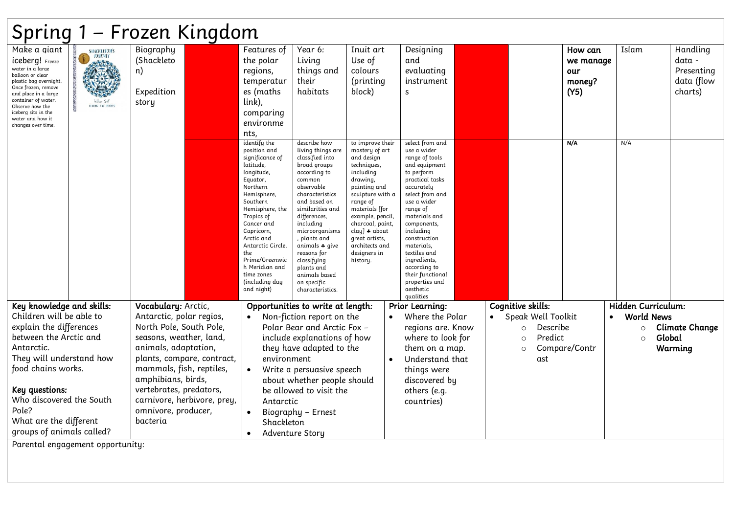| Spring 1 – Frozen Kingdom                                                                                                                                                                                                                                   |                                                                                                                                                                                                                                                                   |                                                      |  |                                                                                                                                                                                                                                                                                                                        |                                                                                                                                                                                                                                                                                                                                                      |                                                                                                                                                                                                                                                                                     |                                                                                                                                                                                                                                                                                                                                                           |  |                                                                         |                                               |                                         |                                                           |
|-------------------------------------------------------------------------------------------------------------------------------------------------------------------------------------------------------------------------------------------------------------|-------------------------------------------------------------------------------------------------------------------------------------------------------------------------------------------------------------------------------------------------------------------|------------------------------------------------------|--|------------------------------------------------------------------------------------------------------------------------------------------------------------------------------------------------------------------------------------------------------------------------------------------------------------------------|------------------------------------------------------------------------------------------------------------------------------------------------------------------------------------------------------------------------------------------------------------------------------------------------------------------------------------------------------|-------------------------------------------------------------------------------------------------------------------------------------------------------------------------------------------------------------------------------------------------------------------------------------|-----------------------------------------------------------------------------------------------------------------------------------------------------------------------------------------------------------------------------------------------------------------------------------------------------------------------------------------------------------|--|-------------------------------------------------------------------------|-----------------------------------------------|-----------------------------------------|-----------------------------------------------------------|
| Make a giant<br>iceberg! Freeze<br>water in a large<br>balloon or clear<br>plastic bag overnight.<br>Once frozen, remove<br>and place in a large<br>container of water.<br>Observe how the<br>iceberg sits in the<br>water and how it<br>changes over time. | <b>SHACKLETON'S</b><br><b>JOURNEY</b><br>William Could<br><b>HYDIG EYE FOORS</b>                                                                                                                                                                                  | Biography<br>(Shackleto<br>n)<br>Expedition<br>story |  | Features of<br>the polar<br>regions,<br>temperatur<br>es (maths<br>link),<br>comparing<br>environme<br>nts,                                                                                                                                                                                                            | Year 6:<br>Living<br>things and<br>their<br>habitats                                                                                                                                                                                                                                                                                                 | Inuit art<br>Use of<br>colours<br>(printing<br>block)                                                                                                                                                                                                                               | Designing<br>and<br>evaluating<br>instrument<br>S                                                                                                                                                                                                                                                                                                         |  |                                                                         | How can<br>we manage<br>our<br>money?<br>(Y5) | Islam                                   | Handling<br>data -<br>Presenting<br>data (flow<br>charts) |
|                                                                                                                                                                                                                                                             |                                                                                                                                                                                                                                                                   |                                                      |  | identify the<br>position and<br>significance of<br>latitude,<br>longitude,<br>Equator,<br>Northern<br>Hemisphere,<br>Southern<br>Hemisphere, the<br>Tropics of<br>Cancer and<br>Capricorn,<br>Arctic and<br>Antarctic Circle.<br>the<br>Prime/Greenwic<br>h Meridian and<br>time zones<br>including day)<br>and night) | describe how<br>living things are<br>classified into<br>broad groups<br>according to<br>common<br>observable<br>characteristics<br>and based on<br>similarities and<br>differences,<br>including<br>microorganisms<br>, plants and<br>animals * give<br>reasons for<br>classifying<br>plants and<br>animals based<br>on specific<br>characteristics. | to improve their<br>mastery of art<br>and design<br>techniques,<br>including<br>drawing,<br>painting and<br>sculpture with a<br>range of<br>materials [for<br>example, pencil,<br>charcoal, paint,<br>clay] * about<br>great artists,<br>architects and<br>designers in<br>history. | select from and<br>use a wider<br>range of tools<br>and equipment<br>to perform<br>practical tasks<br>accurately<br>select from and<br>use a wider<br>range of<br>materials and<br>components,<br>including<br>construction<br>materials,<br>textiles and<br>ingredients,<br>according to<br>their functional<br>properties and<br>aesthetic<br>qualities |  |                                                                         | N/A                                           | N/A                                     |                                                           |
| Key knowledge and skills:<br>Children will be able to                                                                                                                                                                                                       |                                                                                                                                                                                                                                                                   | Vocabulary: Arctic,<br>Antarctic, polar regios,      |  |                                                                                                                                                                                                                                                                                                                        | Opportunities to write at length:<br>Non-fiction report on the<br>Polar Bear and Arctic Fox -                                                                                                                                                                                                                                                        |                                                                                                                                                                                                                                                                                     | <b>Prior Learning:</b><br>Where the Polar<br>regions are. Know                                                                                                                                                                                                                                                                                            |  | <b>Cognitive skills:</b><br>• Speak Well Toolkit<br>Describe<br>$\circ$ |                                               | Hidden Curriculum:<br><b>World News</b> | <b>Climate Change</b>                                     |
| Antarctic.                                                                                                                                                                                                                                                  | explain the differences<br>North Pole, South Pole,<br>between the Arctic and<br>seasons, weather, land,<br>animals, adaptation,<br>They will understand how<br>plants, compare, contract,<br>food chains works.<br>mammals, fish, reptiles,<br>amphibians, birds, |                                                      |  | environment                                                                                                                                                                                                                                                                                                            | include explanations of how<br>they have adapted to the<br>Write a persuasive speech<br>about whether people should                                                                                                                                                                                                                                  |                                                                                                                                                                                                                                                                                     | where to look for<br>them on a map.<br>Understand that<br>things were<br>discovered by                                                                                                                                                                                                                                                                    |  | Predict<br>$\circ$<br>$\circ$<br>ast                                    | Compare/Contr                                 | Global<br>$\circ$                       | Warming                                                   |
| Key questions:<br>Pole?                                                                                                                                                                                                                                     | vertebrates, predators,<br>Who discovered the South<br>carnivore, herbivore, prey,<br>omnivore, producer,<br>What are the different<br>bacteria<br>groups of animals called?<br>Darental engagement opportunitur                                                  |                                                      |  | Antarctic<br>Shackleton<br>Adventure Story                                                                                                                                                                                                                                                                             | be allowed to visit the<br>Biography - Ernest                                                                                                                                                                                                                                                                                                        |                                                                                                                                                                                                                                                                                     | others (e.g.<br>countries)                                                                                                                                                                                                                                                                                                                                |  |                                                                         |                                               |                                         |                                                           |

Parental engagement opportunity: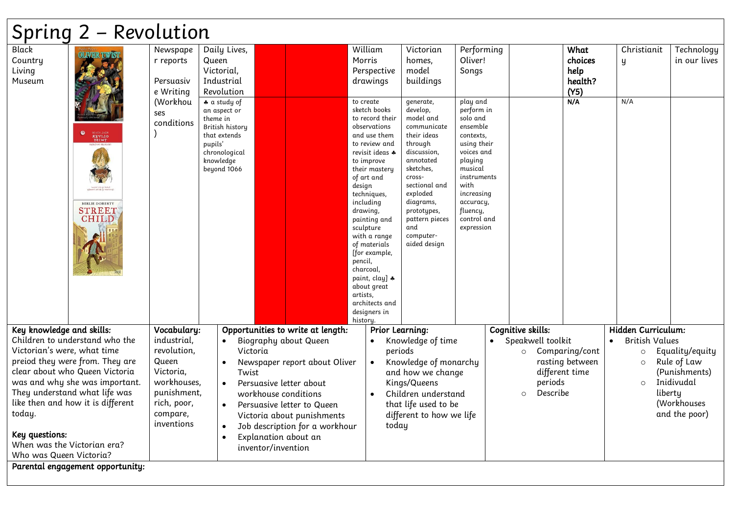## Spring 2 – Revolution

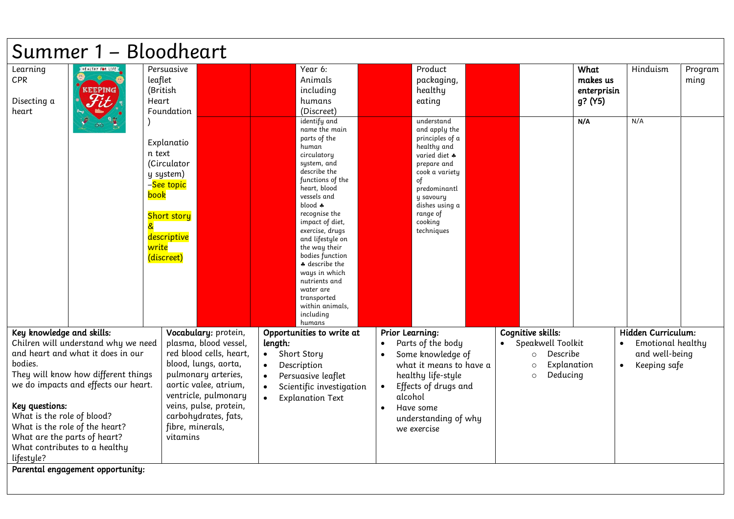|                                                                                                       | Summer 1 - Bloodheart                                                                                                                                                               |                                                                                                                                                                                                           |                                                                                                                                                                                                                                                                                                                                                                                                                                                         |                                                                                                                                                                                                           |                                                                      |                                                      |                 |
|-------------------------------------------------------------------------------------------------------|-------------------------------------------------------------------------------------------------------------------------------------------------------------------------------------|-----------------------------------------------------------------------------------------------------------------------------------------------------------------------------------------------------------|---------------------------------------------------------------------------------------------------------------------------------------------------------------------------------------------------------------------------------------------------------------------------------------------------------------------------------------------------------------------------------------------------------------------------------------------------------|-----------------------------------------------------------------------------------------------------------------------------------------------------------------------------------------------------------|----------------------------------------------------------------------|------------------------------------------------------|-----------------|
| Learning<br>CPR<br>Disecting a<br>heart                                                               | HEALTHY FOR LIFE<br>₩<br><b>KEEPING</b>                                                                                                                                             | Persuasive<br>leaflet<br>(British<br>Heart<br>Foundation                                                                                                                                                  | Year 6:<br>Animals<br>including<br>humans<br>(Discreet)                                                                                                                                                                                                                                                                                                                                                                                                 | Product<br>packaging,<br>healthy<br>eating                                                                                                                                                                | What<br>makes us<br>enterprisin<br>g? (Y5)                           | Hinduism                                             | Program<br>ming |
|                                                                                                       | &                                                                                                                                                                                   | Explanatio<br>n text<br>(Circulator<br>y system)<br>-See topic<br>book<br><b>Short story</b><br>descriptive<br>write<br>(discreet)                                                                        | identify and<br>name the main<br>parts of the<br>human<br>circulatory<br>system, and<br>describe the<br>functions of the<br>heart, blood<br>vessels and<br>$\boldsymbol{\mathsf{a}}$ blood $\boldsymbol{\ast}$<br>recognise the<br>impact of diet,<br>exercise, drugs<br>and lifestyle on<br>the way their<br>bodies function<br># describe the<br>ways in which<br>nutrients and<br>water are<br>transported<br>within animals,<br>including<br>humans | understand<br>and apply the<br>principles of a<br>healthy and<br>varied diet *<br>prepare and<br>cook a variety<br>of<br>predominantl<br>y savoury<br>dishes using a<br>range of<br>cooking<br>techniques | N/A                                                                  | N/A                                                  |                 |
| Key knowledge and skills:                                                                             | Chilren will understand why we need                                                                                                                                                 | Vocabulary: protein,<br>plasma, blood vessel,                                                                                                                                                             | Opportunities to write at<br>length:                                                                                                                                                                                                                                                                                                                                                                                                                    | <b>Prior Learning:</b><br>Parts of the body<br>$\bullet$                                                                                                                                                  | Cognitive skills:<br>Speakwell Toolkit<br>$\bullet$                  | Hidden Curriculum:<br>Emotional healthy<br>$\bullet$ |                 |
| bodies.<br>Key questions:<br>What is the role of blood?<br>What are the parts of heart?<br>lifestyle? | and heart and what it does in our<br>They will know how different things<br>we do impacts and effects our heart.<br>What is the role of the heart?<br>What contributes to a healthy | red blood cells, heart,<br>blood, lungs, aorta,<br>pulmonary arteries,<br>aortic valee, atrium,<br>ventricle, pulmonary<br>veins, pulse, protein,<br>carbohydrates, fats,<br>fibre, minerals,<br>vitamins | Short Story<br>$\bullet$<br>Description<br>Persuasive leaflet<br>$\bullet$<br>Scientific investigation<br><b>Explanation Text</b><br>$\bullet$                                                                                                                                                                                                                                                                                                          | Some knowledge of<br>what it means to have a<br>healthy life-style<br>Effects of drugs and<br>$\bullet$<br>alcohol<br>Have some<br>$\bullet$<br>understanding of why<br>we exercise                       | Describe<br>$\circ$<br>Explanation<br>$\circ$<br>Deducing<br>$\circ$ | and well-being<br>Keeping safe<br>$\bullet$          |                 |
|                                                                                                       | Parental engagement opportunity:                                                                                                                                                    |                                                                                                                                                                                                           |                                                                                                                                                                                                                                                                                                                                                                                                                                                         |                                                                                                                                                                                                           |                                                                      |                                                      |                 |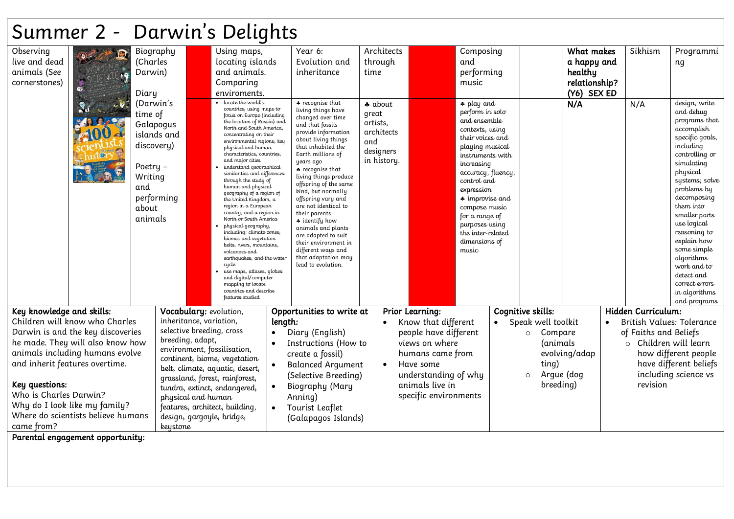## Summer 2 - Darwin's Delights

| Observing                      |                                    |            | Biography               | Using maps,                                             |           | Year 6:                                     | Architects  |                        | Composing                           |                       | What makes    |           | Sikhism               | Programmi                   |
|--------------------------------|------------------------------------|------------|-------------------------|---------------------------------------------------------|-----------|---------------------------------------------|-------------|------------------------|-------------------------------------|-----------------------|---------------|-----------|-----------------------|-----------------------------|
| live and dead                  |                                    | (Charles   |                         | locating islands                                        |           | Evolution and                               | through     |                        | and                                 |                       | a happy and   |           |                       | ng                          |
| animals (See                   |                                    | Darwin)    |                         | and animals.                                            |           | inheritance                                 | time        |                        | performing                          |                       | healthy       |           |                       |                             |
| cornerstones)                  |                                    |            |                         | Comparing                                               |           |                                             |             |                        | music                               |                       | relationship? |           |                       |                             |
|                                |                                    | Diary      |                         | enviroments.                                            |           |                                             |             |                        |                                     |                       | (Y6) SEX ED   |           |                       |                             |
|                                |                                    | (Darwin's  |                         | locate the world's                                      |           | * recognise that                            | * about     |                        | $\clubsuit$ play and                |                       | N/A           |           | N/A                   | design, write               |
|                                |                                    | time of    |                         | countries, using maps to<br>focus on Europe (including  |           | living things have<br>changed over time     | great       |                        | perform in solo                     |                       |               |           |                       | and debug                   |
|                                |                                    | Galapogus  |                         | the location of Russia) and<br>North and South America, |           | and that fossils                            | artists,    |                        | and ensemble                        |                       |               |           |                       | programs that<br>accomplish |
|                                |                                    |            | islands and             | concentrating on their                                  |           | provide information                         | architects  |                        | contexts, using<br>their voices and |                       |               |           |                       | specific goals,             |
|                                |                                    | discovery) |                         | environmental regions, key<br>physical and human        |           | about living things<br>that inhabited the   | and         |                        | playing musical                     |                       |               |           |                       | including                   |
|                                |                                    |            |                         | characteristics, countries,                             |           | Earth millions of                           | designers   |                        | instruments with                    |                       |               |           |                       | controlling or              |
|                                |                                    | Poetry $-$ |                         | and major cities<br>understand geographical             |           | years ago<br>* recognise that               | in history. |                        | increasing                          |                       |               |           |                       | simulating                  |
|                                |                                    | Writing    |                         | similarities and differences<br>through the study of    |           | living things produce                       |             |                        | accuracy, fluency,<br>control and   |                       |               |           |                       | physical<br>systems; solve  |
|                                |                                    | and        |                         | human and physical                                      |           | offspring of the same<br>kind, but normally |             |                        | expression                          |                       |               |           |                       | problems by                 |
|                                |                                    |            | performing              | qeoqraphy of a region of<br>the United Kingdom, a       |           | offspring vary and                          |             |                        | $\clubsuit$ improvise and           |                       |               |           |                       | decomposing                 |
|                                |                                    | about      |                         | region in a European<br>country, and a region in        |           | are not identical to                        |             |                        | compose music                       |                       |               |           |                       | them into                   |
|                                |                                    | animals    |                         | North or South America                                  |           | their parents<br>* identify how             |             |                        | for a range of                      |                       |               |           |                       | smaller parts               |
|                                |                                    |            |                         | physical geography,<br>including: climate zones,        |           | animals and plants                          |             |                        | purposes using<br>the inter-related |                       |               |           |                       | use logical<br>reasoning to |
|                                |                                    |            |                         | biomes and vegetation                                   |           | are adapted to suit<br>their environment in |             |                        | dimensions of                       |                       |               |           |                       | explain how                 |
|                                |                                    |            |                         | belts, rivers, mountains,<br>volcanoes and              |           | different ways and                          |             |                        | music                               |                       |               |           |                       | some simple                 |
|                                |                                    |            |                         | earthquakes, and the water<br>cycle                     |           | that adaptation may<br>lead to evolution.   |             |                        |                                     |                       |               |           |                       | algorithms                  |
|                                |                                    |            |                         | use maps, atlases, globes                               |           |                                             |             |                        |                                     |                       |               |           |                       | work and to<br>detect and   |
|                                |                                    |            |                         | and digital/computer<br>mapping to locate               |           |                                             |             |                        |                                     |                       |               |           |                       | correct errors              |
|                                |                                    |            |                         | countries and describe                                  |           |                                             |             |                        |                                     |                       |               |           |                       | in algorithms               |
|                                |                                    |            |                         | features studied                                        |           |                                             |             |                        |                                     |                       |               |           |                       | and programs                |
| Key knowledge and skills:      |                                    |            |                         | Vocabulary: evolution,                                  |           | Opportunities to write at                   |             | <b>Prior Learning:</b> |                                     | Cognitive skills:     |               |           | Hidden Curriculum:    |                             |
|                                | Children will know who Charles     |            | inheritance, variation, |                                                         | length:   |                                             |             | Know that different    |                                     | Speak well toolkit    |               | $\bullet$ |                       | British Values: Tolerance   |
|                                | Darwin is and the key discoveries  |            |                         | selective breeding, cross                               | $\bullet$ | Diary (English)                             |             | people have different  |                                     | Compare<br>$\circ$    |               |           | of Faiths and Beliefs |                             |
|                                | he made. They will also know how   |            | breeding, adapt,        | environment, fossilisation,                             | $\bullet$ | Instructions (How to                        |             | views on where         |                                     | (animals              |               |           |                       | o Children will learn       |
|                                | animals including humans evolve    |            |                         | continent, biome, vegetation                            |           | create a fossil)                            |             | humans came from       |                                     |                       | evolving/adap |           |                       | how different people        |
| and inherit features overtime. |                                    |            |                         | belt, climate, aquatic, desert,                         |           | <b>Balanced Argument</b>                    | $\bullet$   | Have some              |                                     | ting)                 |               |           |                       | have different beliefs      |
|                                |                                    |            |                         | grassland, forest, rainforest,                          |           | (Selective Breeding)                        |             | understanding of why   |                                     | Argue (dog<br>$\circ$ |               |           |                       | including science vs        |
| Key questions:                 |                                    |            |                         | tundra, extinct, endangered,                            |           | Biography (Mary                             |             | animals live in        |                                     | breeding)             |               |           | revision              |                             |
| Who is Charles Darwin?         |                                    |            | physical and human      |                                                         |           | Anning)                                     |             | specific environments  |                                     |                       |               |           |                       |                             |
|                                | Why do I look like my family?      |            |                         | features, architect, building,                          |           | Tourist Leaflet                             |             |                        |                                     |                       |               |           |                       |                             |
|                                | Where do scientists believe humans |            |                         | design, gargoyle, bridge,                               |           | (Galapagos Islands)                         |             |                        |                                     |                       |               |           |                       |                             |
| came from?                     |                                    |            | keystone                |                                                         |           |                                             |             |                        |                                     |                       |               |           |                       |                             |
|                                | Parental engagement opportunity:   |            |                         |                                                         |           |                                             |             |                        |                                     |                       |               |           |                       |                             |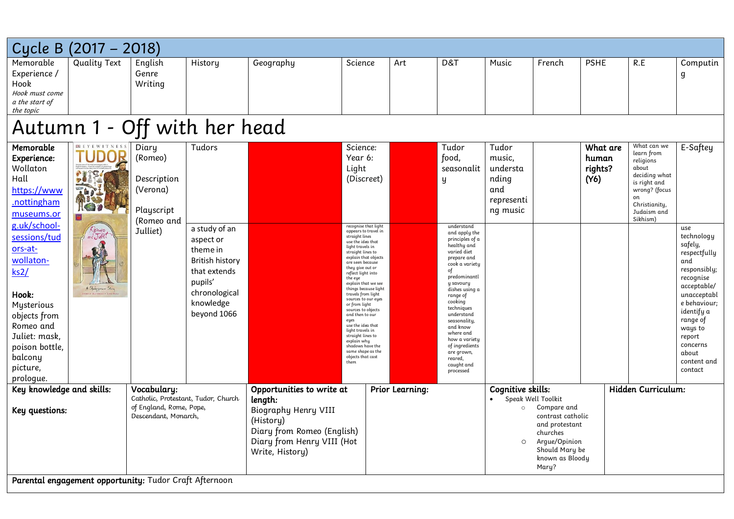| Cycle B                                                                                                  | $(2017 - 2018)$                                        |                                                                                                       |                                                                                                                                          |                                                                                                                                                          |                                                                                                                                                                                                                                                                                                                                                             |                 |                                                                                                                                                                                                         |                                                                       |                                                                                                                                                     |                                      |                                                                                                                                                     |                                                                                                                                              |
|----------------------------------------------------------------------------------------------------------|--------------------------------------------------------|-------------------------------------------------------------------------------------------------------|------------------------------------------------------------------------------------------------------------------------------------------|----------------------------------------------------------------------------------------------------------------------------------------------------------|-------------------------------------------------------------------------------------------------------------------------------------------------------------------------------------------------------------------------------------------------------------------------------------------------------------------------------------------------------------|-----------------|---------------------------------------------------------------------------------------------------------------------------------------------------------------------------------------------------------|-----------------------------------------------------------------------|-----------------------------------------------------------------------------------------------------------------------------------------------------|--------------------------------------|-----------------------------------------------------------------------------------------------------------------------------------------------------|----------------------------------------------------------------------------------------------------------------------------------------------|
| Memorable<br>Experience /<br>Hook<br>Hook must come<br>a the start of<br>the topic                       | <b>Quality Text</b>                                    | English<br>Genre<br>Writing                                                                           | History                                                                                                                                  | Geography                                                                                                                                                | Science                                                                                                                                                                                                                                                                                                                                                     | Art             | D&T                                                                                                                                                                                                     | Music                                                                 | French                                                                                                                                              | <b>PSHE</b>                          | R.E                                                                                                                                                 | Computin<br>g                                                                                                                                |
|                                                                                                          |                                                        |                                                                                                       | Autumn 1 - Off with her head                                                                                                             |                                                                                                                                                          |                                                                                                                                                                                                                                                                                                                                                             |                 |                                                                                                                                                                                                         |                                                                       |                                                                                                                                                     |                                      |                                                                                                                                                     |                                                                                                                                              |
| Memorable<br>Experience:<br>Wollaton<br>Hall<br>https://www<br>.nottingham<br>museums.or<br>g.uk/school- | <b>PE EYE WITNES</b>                                   | Diary<br>(Romeo)<br>Description<br>(Verona)<br>Playscript<br>(Romeo and                               | Tudors                                                                                                                                   |                                                                                                                                                          | Science:<br>Year 6:<br>Light<br>(Discreet)<br>recognise that light                                                                                                                                                                                                                                                                                          |                 | Tudor<br>food,<br>seasonalit<br>y<br>understand                                                                                                                                                         | Tudor<br>music,<br>understa<br>nding<br>and<br>representi<br>ng music |                                                                                                                                                     | What are<br>human<br>rights?<br>(Y6) | What can we<br>learn from<br>religions<br>about<br>deciding what<br>is right and<br>wrong? (focus<br>on<br>Christianity,<br>Judaism and<br>Sikhism) | E-Saftey                                                                                                                                     |
| sessions/tud<br>ors-at-<br>wollaton-<br>$\text{ks2}/$<br>Hook:<br>Mysterious<br>objects from             | Romeo<br>A Shakespeare Story                           | Julliet)                                                                                              | a study of an<br>aspect or<br>theme in<br><b>British history</b><br>that extends<br>pupils'<br>chronological<br>knowledge<br>beyond 1066 |                                                                                                                                                          | appears to travel in<br>straight lines<br>use the idea that<br>light travels in<br>straight lines to<br>explain that objects<br>are seen because<br>they give out or<br>reflect light into<br>the eye<br>explain that we see<br>things because light<br>travels from light<br>sources to our eyes<br>or from light<br>sources to objects<br>and then to our |                 | and apply the<br>principles of a<br>healthy and<br>varied diet<br>prepare and<br>cook a variety<br>of<br>predominantl<br>y savoury<br>dishes using a<br>range of<br>cooking<br>techniques<br>understand |                                                                       |                                                                                                                                                     |                                      |                                                                                                                                                     | use<br>technology<br>safely,<br>respectfully<br>and<br>responsibly;<br>recognise<br>acceptable/<br>unacceptabl<br>e behaviour;<br>identify a |
| Romeo and<br>Juliet: mask,<br>poison bottle,<br>balcony<br>picture,<br>prologue.                         |                                                        |                                                                                                       |                                                                                                                                          |                                                                                                                                                          | eyes<br>use the idea that<br>light travels in<br>straight lines to<br>explain why<br>shadows have the<br>same shape as the<br>objects that cast<br>them                                                                                                                                                                                                     |                 | seasonality,<br>and know<br>where and<br>how a variety<br>of ingredients<br>are grown,<br>reared,<br>caught and<br>processed                                                                            |                                                                       |                                                                                                                                                     |                                      |                                                                                                                                                     | range of<br>ways to<br>report<br>concerns<br>about<br>content and<br>contact                                                                 |
| Key knowledge and skills:<br>Key questions:                                                              |                                                        | Vocabulary:<br>Catholic, Protestant, Tudor, Church<br>of England, Rome, Pope,<br>Descendant, Monarch, |                                                                                                                                          | Opportunities to write at<br>length:<br>Biography Henry VIII<br>(History)<br>Diary from Romeo (English)<br>Diary from Henry VIII (Hot<br>Write, History) |                                                                                                                                                                                                                                                                                                                                                             | Prior Learning: |                                                                                                                                                                                                         | Cognitive skills:<br>$\circ$<br>$\circ$                               | Speak Well Toolkit<br>Compare and<br>contrast catholic<br>and protestant<br>churches<br>Arque/Opinion<br>Should Mary be<br>known as Bloody<br>Mary? |                                      | Hidden Curriculum:                                                                                                                                  |                                                                                                                                              |
|                                                                                                          | Parental engagement opportunity: Tudor Craft Afternoon |                                                                                                       |                                                                                                                                          |                                                                                                                                                          |                                                                                                                                                                                                                                                                                                                                                             |                 |                                                                                                                                                                                                         |                                                                       |                                                                                                                                                     |                                      |                                                                                                                                                     |                                                                                                                                              |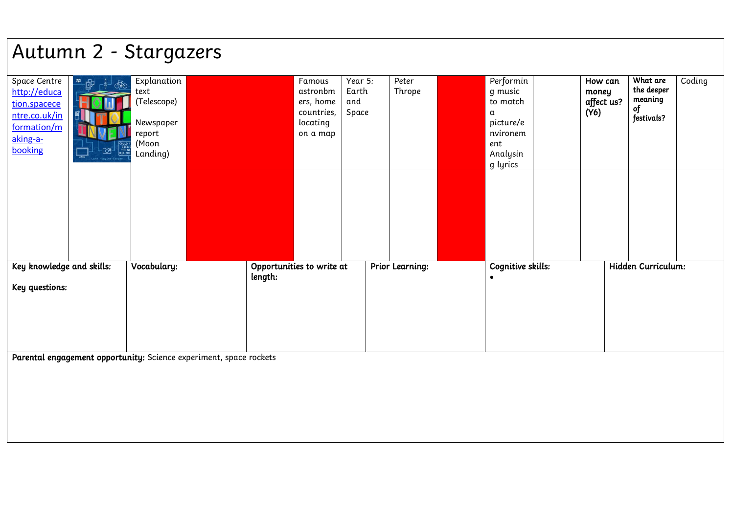## Autumn 2 - Stargazers

| Space Centre<br>http://educa<br>tion.spacece<br>ntre.co.uk/in<br>formation/m<br>aking-a-<br>booking | $\triangleq$<br>අෑ<br>THE NE<br><b>BIG THI</b> | Explanation<br>text<br>(Telescope)<br>Newspaper<br>report<br>(Moon<br>Landing) |                                                                    |         | Famous<br>astronbm<br>ers, home<br>countries,<br>locating<br>on a map | Year 5:<br>Earth<br>and<br>Space | Peter<br>Thrope        | Performin<br>g music<br>to match<br>α<br>picture/e<br>nvironem<br>ent<br>Analysin<br>g lyrics | How can<br>money<br>affect us?<br>(Y6) | What are<br>the deeper<br>meaning<br>of<br>festivals? | Coding |
|-----------------------------------------------------------------------------------------------------|------------------------------------------------|--------------------------------------------------------------------------------|--------------------------------------------------------------------|---------|-----------------------------------------------------------------------|----------------------------------|------------------------|-----------------------------------------------------------------------------------------------|----------------------------------------|-------------------------------------------------------|--------|
|                                                                                                     |                                                |                                                                                |                                                                    |         |                                                                       |                                  |                        |                                                                                               |                                        |                                                       |        |
| Key knowledge and skills:<br>Key questions:                                                         |                                                | Vocabulary:                                                                    |                                                                    | length: | Opportunities to write at                                             |                                  | <b>Prior Learning:</b> | Cognitive skills:<br>$\bullet$                                                                |                                        | Hidden Curriculum:                                    |        |
|                                                                                                     |                                                |                                                                                | Parental engagement opportunity: Science experiment, space rockets |         |                                                                       |                                  |                        |                                                                                               |                                        |                                                       |        |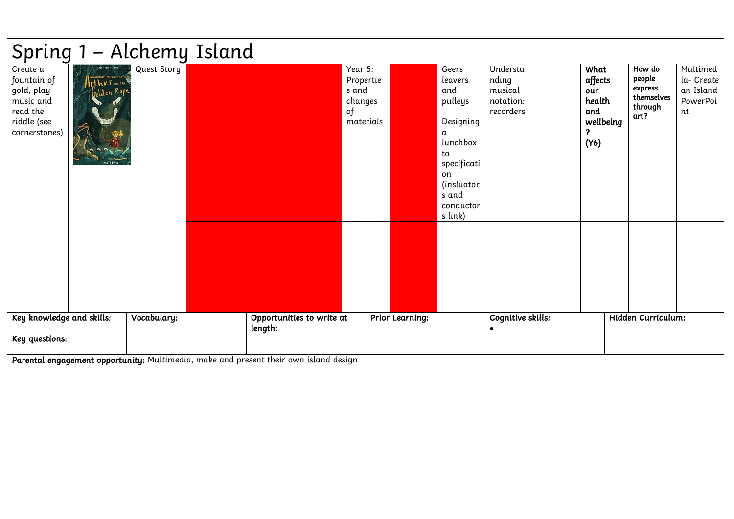|                                                                                                |                                                                                                     | Spring 1 - Alchemy Island                                                             |         |                           |                                                             |                        |                                                                                                                                            |                                                        |                                                                   |                                                              |                                                       |
|------------------------------------------------------------------------------------------------|-----------------------------------------------------------------------------------------------------|---------------------------------------------------------------------------------------|---------|---------------------------|-------------------------------------------------------------|------------------------|--------------------------------------------------------------------------------------------------------------------------------------------|--------------------------------------------------------|-------------------------------------------------------------------|--------------------------------------------------------------|-------------------------------------------------------|
| Create a<br>fountain of<br>gold, play<br>music and<br>read the<br>riddle (see<br>cornerstones) | <b>MYTHIGAL GALLEGAN</b><br>$\left\{ \mathsf{r}\right\}$ th VI $\left\{ \mathsf{r}\right\}$ and the | Quest Story                                                                           |         |                           | Year 5:<br>Propertie<br>s and<br>changes<br>of<br>materials |                        | Geers<br>leavers<br>and<br>pulleys<br>Designing<br>α<br>lunchbox<br>to<br>specificati<br>on<br>(insluator<br>s and<br>conductor<br>s link) | Understa<br>nding<br>musical<br>notation:<br>recorders | What<br>affects<br>our<br>health<br>and<br>wellbeing<br>7<br>(Y6) | How do<br>people<br>express<br>themselves<br>through<br>art? | Multimed<br>ia- Create<br>an Island<br>PowerPoi<br>nt |
| Key knowledge and skills:                                                                      |                                                                                                     | Vocabulary:                                                                           |         | Opportunities to write at |                                                             | <b>Prior Learning:</b> |                                                                                                                                            | Cognitive skills:                                      |                                                                   | Hidden Curriculum:                                           |                                                       |
| Key questions:                                                                                 |                                                                                                     |                                                                                       | length: |                           |                                                             |                        |                                                                                                                                            |                                                        |                                                                   |                                                              |                                                       |
|                                                                                                |                                                                                                     | Parental engagement opportunity: Multimedia, make and present their own island design |         |                           |                                                             |                        |                                                                                                                                            |                                                        |                                                                   |                                                              |                                                       |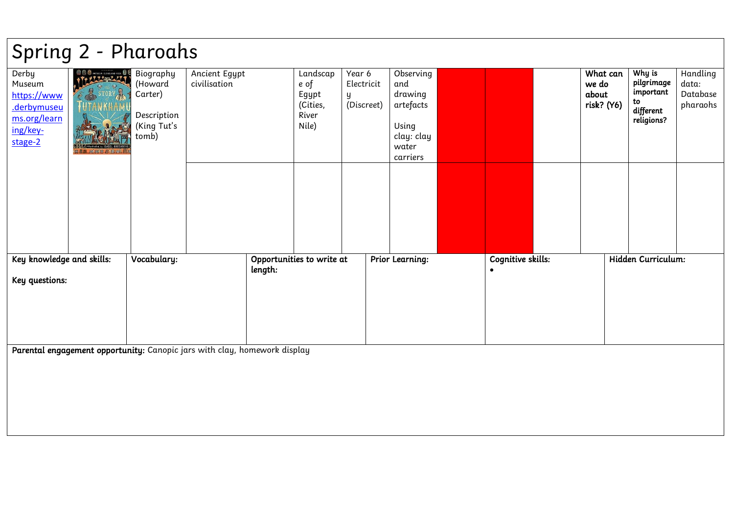| Spring 2 - Pharoahs                                                                  |                                                                    |                                                                        |                                                                           |         |                                                         |                                         |                                                                                      |                                |                                          |                                                                    |                                           |
|--------------------------------------------------------------------------------------|--------------------------------------------------------------------|------------------------------------------------------------------------|---------------------------------------------------------------------------|---------|---------------------------------------------------------|-----------------------------------------|--------------------------------------------------------------------------------------|--------------------------------|------------------------------------------|--------------------------------------------------------------------|-------------------------------------------|
| Derby<br>Museum<br>https://www<br>.derbymuseu<br>ms.org/learn<br>ing/key-<br>stage-2 | <b>OOO AND THE USE</b><br>S R STORY<br>$\mathbf{a}$<br>微量量 自行的复数形式 | Biography<br>(Howard<br>Carter)<br>Description<br>(King Tut's<br>tomb) | Ancient Egypt<br>civilisation                                             |         | Landscap<br>e of<br>Egypt<br>(Cities,<br>River<br>Nile) | Year 6<br>Electricit<br>y<br>(Discreet) | Observing<br>and<br>drawing<br>artefacts<br>Using<br>clay: clay<br>water<br>carriers |                                | What can<br>we do<br>about<br>risk? (Y6) | Why is<br>pilgrimage<br>important<br>to<br>different<br>religions? | Handling<br>data:<br>Database<br>pharaohs |
| Key knowledge and skills:<br>Key questions:                                          |                                                                    | Vocabulary:                                                            |                                                                           | length: | Opportunities to write at                               |                                         | <b>Prior Learning:</b>                                                               | Cognitive skills:<br>$\bullet$ |                                          | Hidden Curriculum:                                                 |                                           |
|                                                                                      |                                                                    |                                                                        | Parental engagement opportunity: Canopic jars with clay, homework display |         |                                                         |                                         |                                                                                      |                                |                                          |                                                                    |                                           |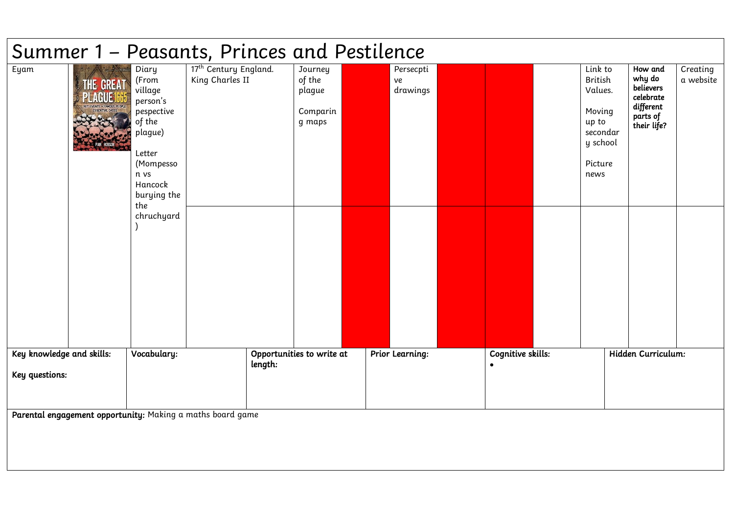|                                             |                     |                                                                                                                                                        | Summer 1 – Peasants, Princes and Pestilence                |         |                                                   |                             |                   |                                                                                                    |                                                                                     |                       |
|---------------------------------------------|---------------------|--------------------------------------------------------------------------------------------------------------------------------------------------------|------------------------------------------------------------|---------|---------------------------------------------------|-----------------------------|-------------------|----------------------------------------------------------------------------------------------------|-------------------------------------------------------------------------------------|-----------------------|
| Eyam                                        | THE GREAT<br>PEARUS | Diary<br>(From<br>village<br>person's<br>pespective<br>of the<br>plague)<br>Letter<br>(Mompesso<br>n vs<br>Hancock<br>burying the<br>the<br>chruchyard | 17 <sup>th</sup> Century England.<br>King Charles II       |         | Journey<br>of the<br>plague<br>Comparin<br>g maps | Persecpti<br>ve<br>drawings |                   | Link to<br><b>British</b><br>Values.<br>Moving<br>up to<br>secondar<br>y school<br>Picture<br>news | How and<br>why do<br>believers<br>celebrate<br>different<br>parts of<br>their life? | Creating<br>a website |
| Key knowledge and skills:<br>Key questions: |                     | Vocabulary:                                                                                                                                            |                                                            | length: | Opportunities to write at                         | <b>Prior Learning:</b>      | Cognitive skills: |                                                                                                    | Hidden Curriculum:                                                                  |                       |
|                                             |                     |                                                                                                                                                        | Parental engagement opportunity: Making a maths board game |         |                                                   |                             |                   |                                                                                                    |                                                                                     |                       |